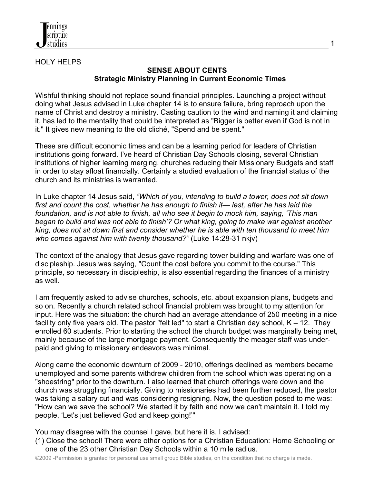

## HOLY HELPS

## **SENSE ABOUT CENTS Strategic Ministry Planning in Current Economic Times**

Wishful thinking should not replace sound financial principles. Launching a project without doing what Jesus advised in Luke chapter 14 is to ensure failure, bring reproach upon the name of Christ and destroy a ministry. Casting caution to the wind and naming it and claiming it, has led to the mentality that could be interpreted as "Bigger is better even if God is not in it." It gives new meaning to the old cliché, "Spend and be spent."

These are difficult economic times and can be a learning period for leaders of Christian institutions going forward. I've heard of Christian Day Schools closing, several Christian institutions of higher learning merging, churches reducing their Missionary Budgets and staff in order to stay afloat financially. Certainly a studied evaluation of the financial status of the church and its ministries is warranted.

In Luke chapter 14 Jesus said, *"Which of you, intending to build a tower, does not sit down first and count the cost, whether he has enough to finish it— lest, after he has laid the foundation, and is not able to finish, all who see it begin to mock him, saying, 'This man began to build and was not able to finish'? Or what king, going to make war against another king, does not sit down first and consider whether he is able with ten thousand to meet him who comes against him with twenty thousand?"* (Luke 14:28-31 nkjv)

The context of the analogy that Jesus gave regarding tower building and warfare was one of discipleship. Jesus was saying, "Count the cost before you commit to the course." This principle, so necessary in discipleship, is also essential regarding the finances of a ministry as well.

I am frequently asked to advise churches, schools, etc. about expansion plans, budgets and so on. Recently a church related school financial problem was brought to my attention for input. Here was the situation: the church had an average attendance of 250 meeting in a nice facility only five years old. The pastor "felt led" to start a Christian day school,  $K - 12$ . They enrolled 60 students. Prior to starting the school the church budget was marginally being met, mainly because of the large mortgage payment. Consequently the meager staff was underpaid and giving to missionary endeavors was minimal.

Along came the economic downturn of 2009 - 2010, offerings declined as members became unemployed and some parents withdrew children from the school which was operating on a "shoestring" prior to the downturn. I also learned that church offerings were down and the church was struggling financially. Giving to missionaries had been further reduced, the pastor was taking a salary cut and was considering resigning. Now, the question posed to me was: "How can we save the school? We started it by faith and now we can't maintain it. I told my people, 'Let's just believed God and keep going!'"

You may disagree with the counsel I gave, but here it is. I advised:

(1) Close the school! There were other options for a Christian Education: Home Schooling or one of the 23 other Christian Day Schools within a 10 mile radius.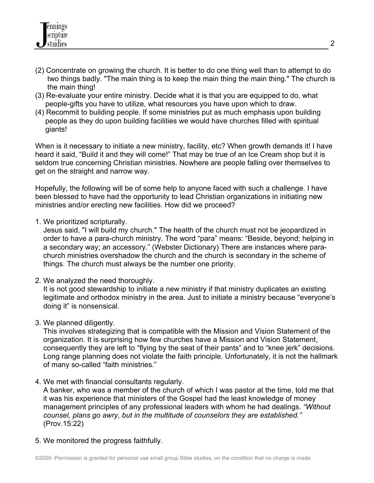- (2) Concentrate on growing the church. It is better to do one thing well than to attempt to do two things badly. "The main thing is to keep the main thing the main thing." The church is the main thing!
- (3) Re-evaluate your entire ministry. Decide what it is that you are equipped to do, what people-gifts you have to utilize, what resources you have upon which to draw.
- (4) Recommit to building people. If some ministries put as much emphasis upon building people as they do upon building facilities we would have churches filled with spiritual giants!

When is it necessary to initiate a new ministry, facility, etc? When growth demands it! I have heard it said, "Build it and they will come!" That may be true of an Ice Cream shop but it is seldom true concerning Christian ministries. Nowhere are people falling over themselves to get on the straight and narrow way.

Hopefully, the following will be of some help to anyone faced with such a challenge. I have been blessed to have had the opportunity to lead Christian organizations in initiating new ministries and/or erecting new facilities. How did we proceed?

1. We prioritized scripturally.

 Jesus said, "I will build my church." The health of the church must not be jeopardized in order to have a para-church ministry. The word "para" means: "Beside, beyond; helping in a secondary way; an accessory." (Webster Dictionary) There are instances where para church ministries overshadow the church and the church is secondary in the scheme of things. The church must always be the number one priority.

2. We analyzed the need thoroughly.

 It is not good stewardship to initiate a new ministry if that ministry duplicates an existing legitimate and orthodox ministry in the area. Just to initiate a ministry because "everyone's doing it" is nonsensical.

3. We planned diligently.

 This involves strategizing that is compatible with the Mission and Vision Statement of the organization. It is surprising how few churches have a Mission and Vision Statement, consequently they are left to "flying by the seat of their pants" and to "knee jerk" decisions. Long range planning does not violate the faith principle. Unfortunately, it is not the hallmark of many so-called "faith ministries."

4. We met with financial consultants regularly.

 A banker, who was a member of the church of which I was pastor at the time, told me that it was his experience that ministers of the Gospel had the least knowledge of money management principles of any professional leaders with whom he had dealings. *"Without counsel, plans go awry, but in the multitude of counselors they are established."* (Prov.15:22)

5. We monitored the progress faithfully.